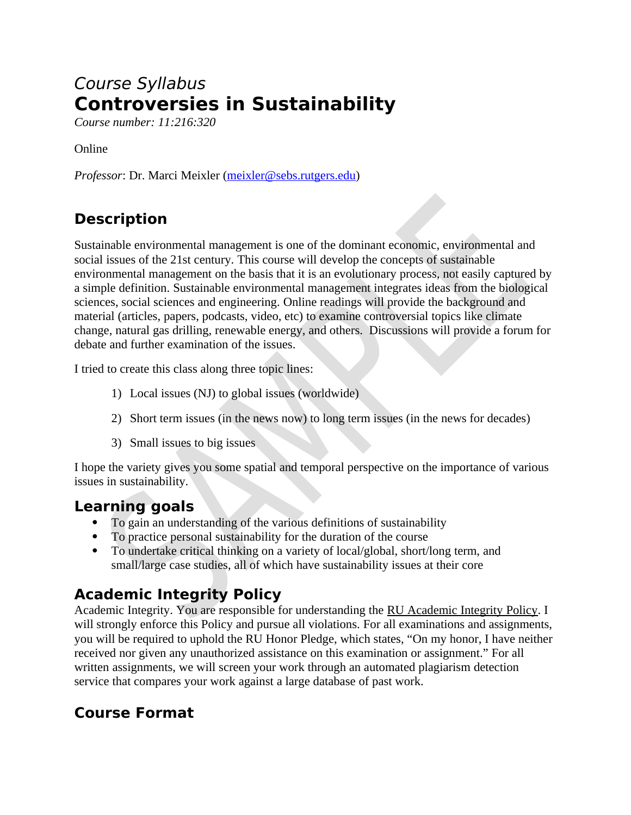# Course Syllabus **Controversies in Sustainability**

*Course number: 11:216:320*

Online

*Professor*: Dr. Marci Meixler [\(meixler@sebs.rutgers.edu\)](mailto:meixler@sebs.rutgers.edu)

## **Description**

Sustainable environmental management is one of the dominant economic, environmental and social issues of the 21st century. This course will develop the concepts of sustainable environmental management on the basis that it is an evolutionary process, not easily captured by a simple definition. Sustainable environmental management integrates ideas from the biological sciences, social sciences and engineering. Online readings will provide the background and material (articles, papers, podcasts, video, etc) to examine controversial topics like climate change, natural gas drilling, renewable energy, and others. Discussions will provide a forum for debate and further examination of the issues.

I tried to create this class along three topic lines:

- 1) Local issues (NJ) to global issues (worldwide)
- 2) Short term issues (in the news now) to long term issues (in the news for decades)
- 3) Small issues to big issues

I hope the variety gives you some spatial and temporal perspective on the importance of various issues in sustainability.

#### **Learning goals**

- To gain an understanding of the various definitions of sustainability
- To practice personal sustainability for the duration of the course
- To undertake critical thinking on a variety of local/global, short/long term, and small/large case studies, all of which have sustainability issues at their core

#### **Academic Integrity Policy**

Academic Integrity. You are responsible for understanding the [RU Academic Integrity Policy.](https://slwordpress.rutgers.edu/academicintegrity/wp-content/uploads/sites/41/2014/11/AI_Policy_2013.pdf) I will strongly enforce this Policy and pursue all violations. For all examinations and assignments, you will be required to uphold the RU Honor Pledge, which states, "On my honor, I have neither received nor given any unauthorized assistance on this examination or assignment." For all written assignments, we will screen your work through an automated plagiarism detection service that compares your work against a large database of past work.

# **Course Format**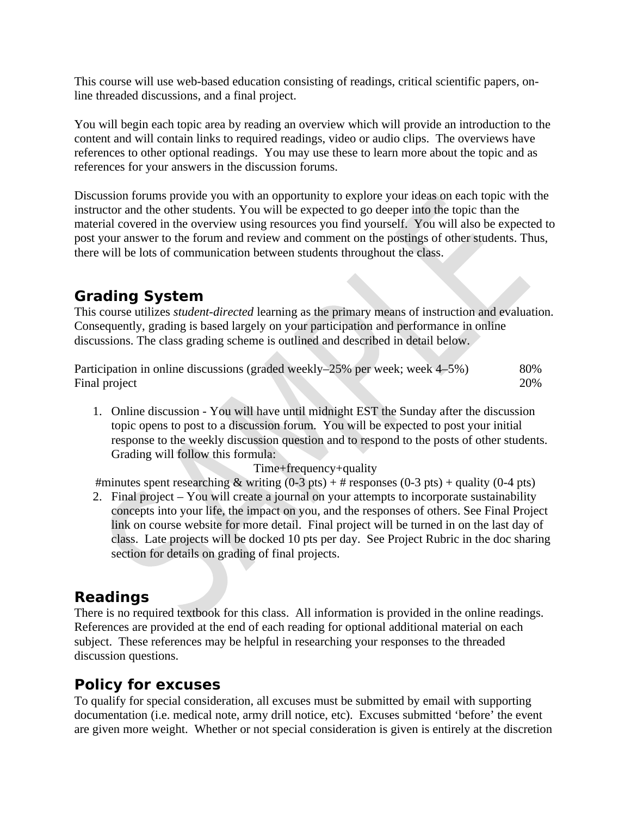This course will use web-based education consisting of readings, critical scientific papers, online threaded discussions, and a final project.

You will begin each topic area by reading an overview which will provide an introduction to the content and will contain links to required readings, video or audio clips. The overviews have references to other optional readings. You may use these to learn more about the topic and as references for your answers in the discussion forums.

Discussion forums provide you with an opportunity to explore your ideas on each topic with the instructor and the other students. You will be expected to go deeper into the topic than the material covered in the overview using resources you find yourself. You will also be expected to post your answer to the forum and review and comment on the postings of other students. Thus, there will be lots of communication between students throughout the class.

### **Grading System**

This course utilizes *student-directed* learning as the primary means of instruction and evaluation. Consequently, grading is based largely on your participation and performance in online discussions. The class grading scheme is outlined and described in detail below.

| Participation in online discussions (graded weekly–25% per week; week 4–5%) | 80% |
|-----------------------------------------------------------------------------|-----|
| Final project                                                               | 20% |

1. Online discussion - You will have until midnight EST the Sunday after the discussion topic opens to post to a discussion forum. You will be expected to post your initial response to the weekly discussion question and to respond to the posts of other students. Grading will follow this formula:

Time+frequency+quality

#minutes spent researching & writing  $(0-3 \text{ pts}) + #$  responses  $(0-3 \text{ pts}) +$  quality  $(0-4 \text{ pts})$ 

2. Final project – You will create a journal on your attempts to incorporate sustainability concepts into your life, the impact on you, and the responses of others. See Final Project link on course website for more detail. Final project will be turned in on the last day of class. Late projects will be docked 10 pts per day. See Project Rubric in the doc sharing section for details on grading of final projects.

#### **Readings**

There is no required textbook for this class. All information is provided in the online readings. References are provided at the end of each reading for optional additional material on each subject. These references may be helpful in researching your responses to the threaded discussion questions.

### **Policy for excuses**

To qualify for special consideration, all excuses must be submitted by email with supporting documentation (i.e. medical note, army drill notice, etc). Excuses submitted 'before' the event are given more weight. Whether or not special consideration is given is entirely at the discretion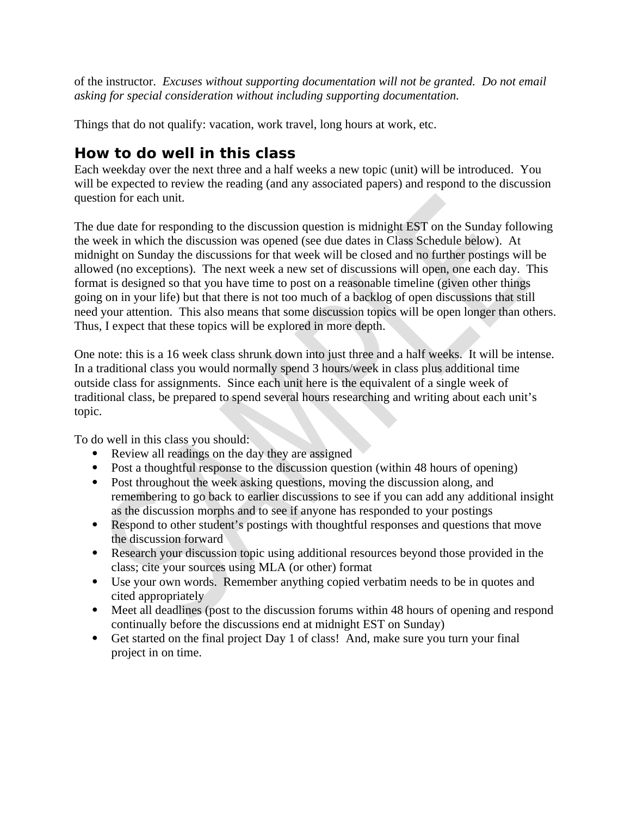of the instructor. *Excuses without supporting documentation will not be granted. Do not email asking for special consideration without including supporting documentation.*

Things that do not qualify: vacation, work travel, long hours at work, etc.

### **How to do well in this class**

Each weekday over the next three and a half weeks a new topic (unit) will be introduced. You will be expected to review the reading (and any associated papers) and respond to the discussion question for each unit.

The due date for responding to the discussion question is midnight EST on the Sunday following the week in which the discussion was opened (see due dates in Class Schedule below). At midnight on Sunday the discussions for that week will be closed and no further postings will be allowed (no exceptions). The next week a new set of discussions will open, one each day. This format is designed so that you have time to post on a reasonable timeline (given other things going on in your life) but that there is not too much of a backlog of open discussions that still need your attention. This also means that some discussion topics will be open longer than others. Thus, I expect that these topics will be explored in more depth.

One note: this is a 16 week class shrunk down into just three and a half weeks. It will be intense. In a traditional class you would normally spend 3 hours/week in class plus additional time outside class for assignments. Since each unit here is the equivalent of a single week of traditional class, be prepared to spend several hours researching and writing about each unit's topic.

To do well in this class you should:

- Review all readings on the day they are assigned
- Post a thoughtful response to the discussion question (within 48 hours of opening)
- Post throughout the week asking questions, moving the discussion along, and remembering to go back to earlier discussions to see if you can add any additional insight as the discussion morphs and to see if anyone has responded to your postings
- Respond to other student's postings with thoughtful responses and questions that move the discussion forward
- Research your discussion topic using additional resources beyond those provided in the class; cite your sources using MLA (or other) format
- Use your own words. Remember anything copied verbatim needs to be in quotes and cited appropriately
- Meet all deadlines (post to the discussion forums within 48 hours of opening and respond continually before the discussions end at midnight EST on Sunday)
- Get started on the final project Day 1 of class! And, make sure you turn your final project in on time.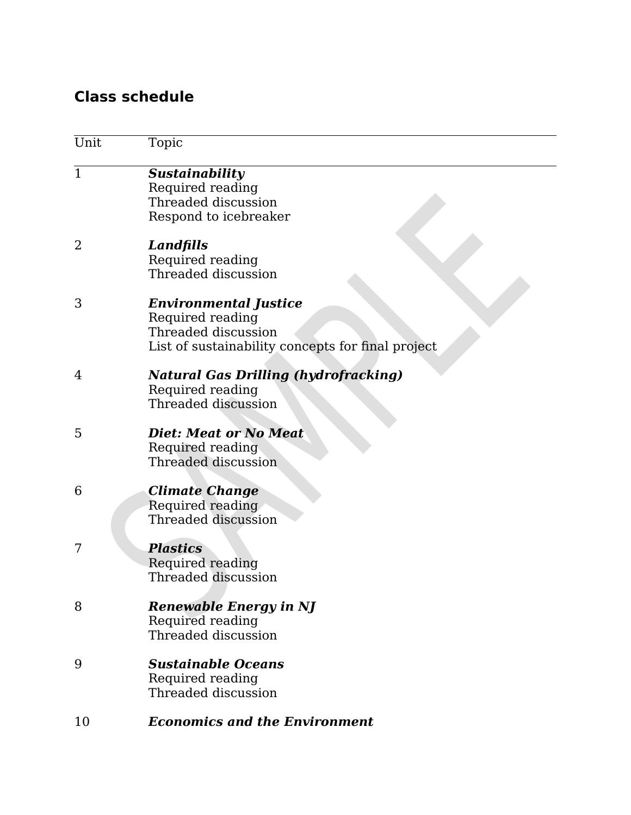### **Class schedule**

| Unit           | Topic                                                                                                                        |
|----------------|------------------------------------------------------------------------------------------------------------------------------|
| $\overline{1}$ | Sustainability<br>Required reading<br>Threaded discussion<br>Respond to icebreaker                                           |
| 2              | <b>Landfills</b><br>Required reading<br>Threaded discussion                                                                  |
| 3              | <b>Environmental Justice</b><br>Required reading<br>Threaded discussion<br>List of sustainability concepts for final project |
| 4              | <b>Natural Gas Drilling (hydrofracking)</b><br>Required reading<br><b>Threaded discussion</b>                                |
| 5              | <b>Diet: Meat or No Meat</b><br>Required reading<br><b>Threaded discussion</b>                                               |
| 6              | <b>Climate Change</b><br>Required reading<br>Threaded discussion                                                             |
| 7              | <b>Plastics</b><br>Required reading<br>Threaded discussion                                                                   |
| 8              | <b>Renewable Energy in NJ</b><br>Required reading<br>Threaded discussion                                                     |
| 9              | <b>Sustainable Oceans</b><br>Required reading<br>Threaded discussion                                                         |
| 10             | <b>Economics and the Environment</b>                                                                                         |